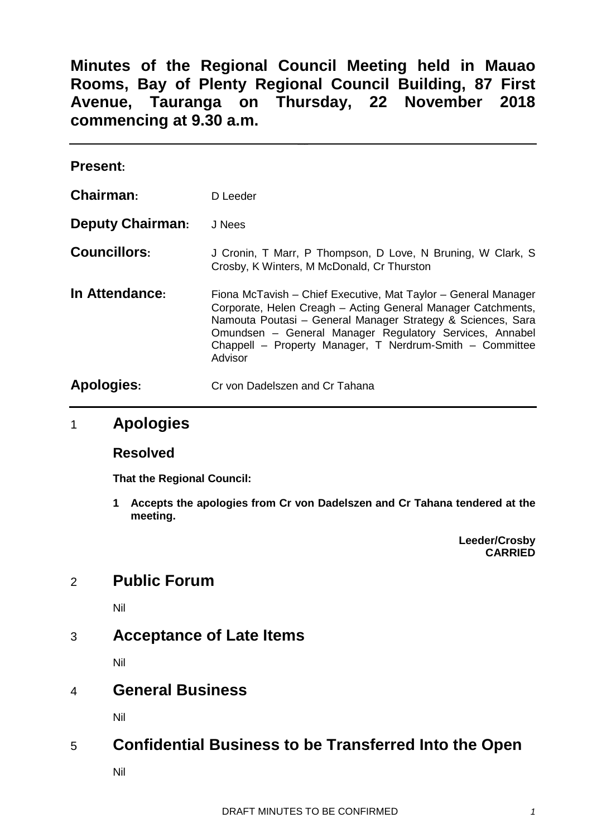**Minutes of the Regional Council Meeting held in Mauao Rooms, Bay of Plenty Regional Council Building, 87 First Avenue, Tauranga on Thursday, 22 November 2018 commencing at 9.30 a.m.**

| <b>Present:</b>         |                                                                                                                                                                                                                                                                                                                                 |
|-------------------------|---------------------------------------------------------------------------------------------------------------------------------------------------------------------------------------------------------------------------------------------------------------------------------------------------------------------------------|
| Chairman:               | D Leeder                                                                                                                                                                                                                                                                                                                        |
| <b>Deputy Chairman:</b> | J Nees                                                                                                                                                                                                                                                                                                                          |
| <b>Councillors:</b>     | J Cronin, T Marr, P Thompson, D Love, N Bruning, W Clark, S<br>Crosby, K Winters, M McDonald, Cr Thurston                                                                                                                                                                                                                       |
| In Attendance:          | Fiona McTavish – Chief Executive, Mat Taylor – General Manager<br>Corporate, Helen Creagh - Acting General Manager Catchments,<br>Namouta Poutasi - General Manager Strategy & Sciences, Sara<br>Omundsen - General Manager Regulatory Services, Annabel<br>Chappell - Property Manager, T Nerdrum-Smith - Committee<br>Advisor |
| Apologies:              | Cr von Dadelszen and Cr Tahana                                                                                                                                                                                                                                                                                                  |

### 1 **Apologies**

### **Resolved**

**That the Regional Council:**

**1 Accepts the apologies from Cr von Dadelszen and Cr Tahana tendered at the meeting.**

> **Leeder/Crosby CARRIED**

# 2 **Public Forum**

Nil

## 3 **Acceptance of Late Items**

Nil

## 4 **General Business**

Nil

## 5 **Confidential Business to be Transferred Into the Open**

Nil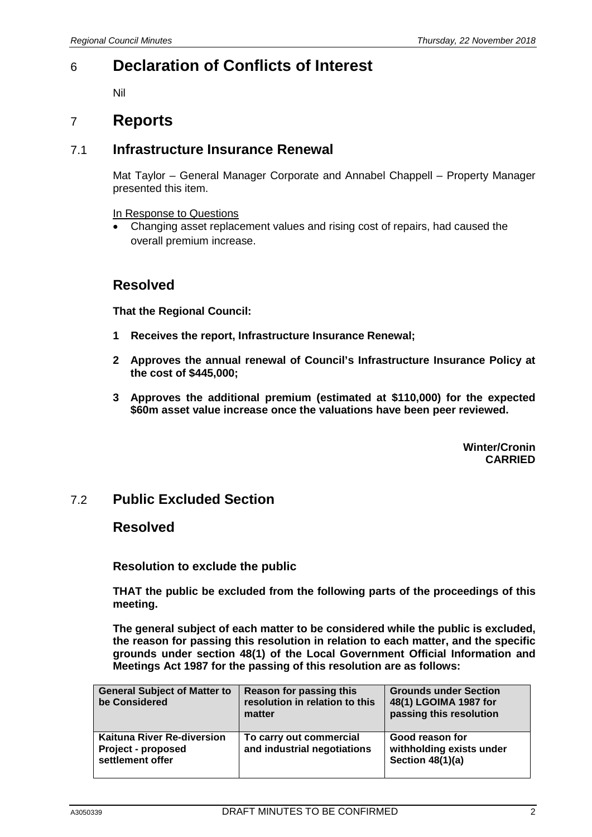# 6 **Declaration of Conflicts of Interest**

Nil

### 7 **Reports**

### 7.1 **Infrastructure Insurance Renewal**

Mat Taylor – General Manager Corporate and Annabel Chappell – Property Manager presented this item.

In Response to Questions

• Changing asset replacement values and rising cost of repairs, had caused the overall premium increase.

### **Resolved**

**That the Regional Council:**

- **1 Receives the report, Infrastructure Insurance Renewal;**
- **2 Approves the annual renewal of Council's Infrastructure Insurance Policy at the cost of \$445,000;**
- **3 Approves the additional premium (estimated at \$110,000) for the expected \$60m asset value increase once the valuations have been peer reviewed.**

**Winter/Cronin CARRIED**

### 7.2 **Public Excluded Section**

#### **Resolved**

**Resolution to exclude the public**

**THAT the public be excluded from the following parts of the proceedings of this meeting.**

**The general subject of each matter to be considered while the public is excluded, the reason for passing this resolution in relation to each matter, and the specific grounds under section 48(1) of the Local Government Official Information and Meetings Act 1987 for the passing of this resolution are as follows:**

| <b>General Subject of Matter to</b><br>be Considered                        | Reason for passing this<br>resolution in relation to this<br>matter | <b>Grounds under Section</b><br>48(1) LGOIMA 1987 for<br>passing this resolution |
|-----------------------------------------------------------------------------|---------------------------------------------------------------------|----------------------------------------------------------------------------------|
| <b>Kaituna River Re-diversion</b><br>Project - proposed<br>settlement offer | To carry out commercial<br>and industrial negotiations              | Good reason for<br>withholding exists under<br>Section 48(1)(a)                  |